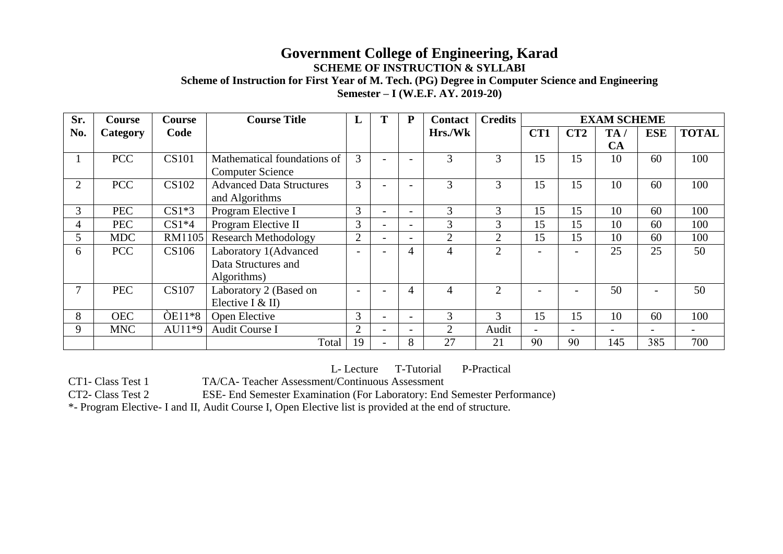## **Government College of Engineering, Karad SCHEME OF INSTRUCTION & SYLLABI**

**Scheme of Instruction for First Year of M. Tech. (PG) Degree in Computer Science and Engineering Semester – I (W.E.F. AY. 2019-20)**

| Sr.            | Course          | <b>Course</b> | <b>Course Title</b>             | L                        | Т                        | P                        | <b>Contact</b> | <b>Credits</b> | <b>EXAM SCHEME</b> |     |     |            |              |
|----------------|-----------------|---------------|---------------------------------|--------------------------|--------------------------|--------------------------|----------------|----------------|--------------------|-----|-----|------------|--------------|
| No.            | <b>Category</b> | Code          |                                 |                          |                          |                          | Hrs./Wk        |                | CT1                | CT2 | TA/ | <b>ESE</b> | <b>TOTAL</b> |
|                |                 |               |                                 |                          |                          |                          |                |                |                    |     | CA  |            |              |
|                | <b>PCC</b>      | <b>CS101</b>  | Mathematical foundations of     | 3                        |                          |                          | 3              | 3              | 15                 | 15  | 10  | 60         | 100          |
|                |                 |               | <b>Computer Science</b>         |                          |                          |                          |                |                |                    |     |     |            |              |
| $\overline{2}$ | <b>PCC</b>      | <b>CS102</b>  | <b>Advanced Data Structures</b> | 3                        |                          |                          | 3              | 3              | 15                 | 15  | 10  | 60         | 100          |
|                |                 |               | and Algorithms                  |                          |                          |                          |                |                |                    |     |     |            |              |
| 3              | <b>PEC</b>      | $CS1*3$       | Program Elective I              | 3                        | $\overline{\phantom{0}}$ |                          | 3              | 3              | 15                 | 15  | 10  | 60         | 100          |
| 4              | <b>PEC</b>      | $CS1*4$       | Program Elective II             | 3                        | $\overline{\phantom{a}}$ | $\overline{\phantom{0}}$ | 3              | 3              | 15                 | 15  | 10  | 60         | 100          |
| 5              | <b>MDC</b>      | RM1105        | <b>Research Methodology</b>     | 2                        | $\overline{\phantom{0}}$ |                          | $\overline{2}$ | $\overline{2}$ | 15                 | 15  | 10  | 60         | 100          |
| 6              | <b>PCC</b>      | CS106         | Laboratory 1(Advanced           |                          |                          | 4                        | $\overline{4}$ | $\overline{2}$ |                    |     | 25  | 25         | 50           |
|                |                 |               | Data Structures and             |                          |                          |                          |                |                |                    |     |     |            |              |
|                |                 |               | Algorithms)                     |                          |                          |                          |                |                |                    |     |     |            |              |
|                | <b>PEC</b>      | <b>CS107</b>  | Laboratory 2 (Based on          | $\overline{\phantom{0}}$ |                          | 4                        | $\overline{4}$ | $\overline{2}$ |                    |     | 50  |            | 50           |
|                |                 |               | Elective I & II)                |                          |                          |                          |                |                |                    |     |     |            |              |
| 8              | <b>OEC</b>      | $OE11*8$      | Open Elective                   | 3                        |                          |                          | 3              | 3              | 15                 | 15  | 10  | 60         | 100          |
| 9              | <b>MNC</b>      | $AU11*9$      | Audit Course I                  | $\overline{2}$           |                          |                          | $\overline{2}$ | Audit          |                    | -   | -   | ۰          |              |
|                |                 |               | Total                           | 19                       | $\overline{\phantom{0}}$ | 8                        | 27             | 21             | 90                 | 90  | 145 | 385        | 700          |

L- Lecture T-Tutorial P-Practical

CT1- Class Test 1 TA/CA- Teacher Assessment/Continuous Assessment

CT2- Class Test 2 ESE- End Semester Examination (For Laboratory: End Semester Performance)

\*- Program Elective- I and II, Audit Course I, Open Elective list is provided at the end of structure.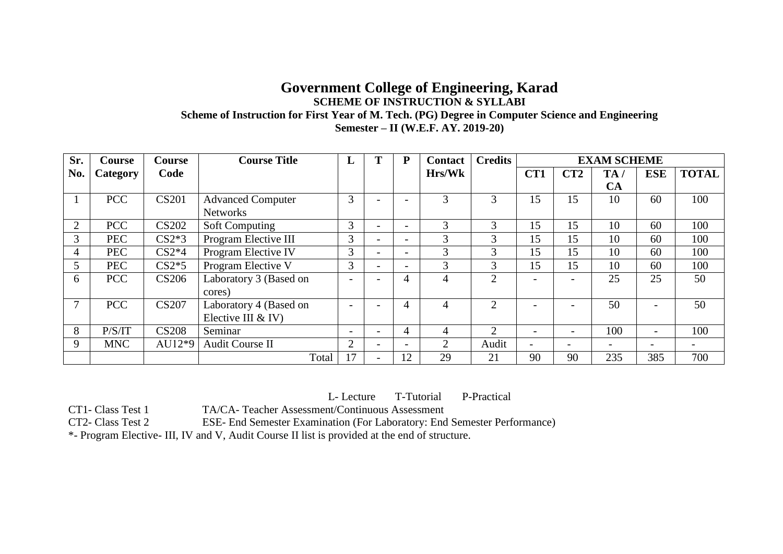#### **Government College of Engineering, Karad SCHEME OF INSTRUCTION & SYLLABI Scheme of Instruction for First Year of M. Tech. (PG) Degree in Computer Science and Engineering Semester – II (W.E.F. AY. 2019-20)**

| Sr. | Course     | <b>Course</b> | <b>Course Title</b>      | L                        | P                        | Contact | <b>Credits</b>              |                          | <b>EXAM SCHEME</b>       |     |                          |              |
|-----|------------|---------------|--------------------------|--------------------------|--------------------------|---------|-----------------------------|--------------------------|--------------------------|-----|--------------------------|--------------|
| No. | Category   | Code          |                          |                          |                          | Hrs/Wk  |                             | CT1                      | CT2                      | TA/ | <b>ESE</b>               | <b>TOTAL</b> |
|     |            |               |                          |                          |                          |         |                             |                          |                          | CA  |                          |              |
|     | <b>PCC</b> | <b>CS201</b>  | <b>Advanced Computer</b> | 3                        |                          | 3       | 3                           | 15                       | 15                       | 10  | 60                       | 100          |
|     |            |               | <b>Networks</b>          |                          |                          |         |                             |                          |                          |     |                          |              |
| 2   | <b>PCC</b> | <b>CS202</b>  | <b>Soft Computing</b>    | 3                        |                          | 3       | 3                           | 15                       | 15                       | 10  | 60                       | 100          |
| 3   | <b>PEC</b> | $CS2*3$       | Program Elective III     | 3                        | $\overline{\phantom{0}}$ | 3       | 3                           | 15                       | 15                       | 10  | 60                       | 100          |
| 4   | <b>PEC</b> | $CS2*4$       | Program Elective IV      | 3                        | $\overline{\phantom{0}}$ | 3       | 3                           | 15                       | 15                       | 10  | 60                       | 100          |
| 5   | <b>PEC</b> | $CS2*5$       | Program Elective V       | 3                        |                          | 3       | 3                           | 15                       | 15                       | 10  | 60                       | 100          |
| 6   | <b>PCC</b> | <b>CS206</b>  | Laboratory 3 (Based on   | $\overline{\phantom{0}}$ | 4                        |         | $\mathcal{D}$               | $\overline{\phantom{0}}$ | $\overline{\phantom{0}}$ | 25  | 25                       | 50           |
|     |            |               | cores)                   |                          |                          |         |                             |                          |                          |     |                          |              |
|     | <b>PCC</b> | <b>CS207</b>  | Laboratory 4 (Based on   | $\overline{\phantom{0}}$ | 4                        | 4       | $\mathcal{D}_{\mathcal{L}}$ |                          |                          | 50  |                          | 50           |
|     |            |               | Elective III & IV)       |                          |                          |         |                             |                          |                          |     |                          |              |
| 8   | P/S/IT     | <b>CS208</b>  | Seminar                  | $\overline{\phantom{0}}$ | 4                        |         | $\mathcal{D}$               | $\overline{\phantom{0}}$ | -                        | 100 |                          | 100          |
| 9   | <b>MNC</b> | $AU12*9$      | <b>Audit Course II</b>   | $\overline{2}$           |                          | 2       | Audit                       |                          |                          |     | $\overline{\phantom{0}}$ |              |
|     |            |               | Total                    |                          | 12                       | 29      | 21                          | 90                       | 90                       | 235 | 385                      | 700          |

L- Lecture T-Tutorial P-Practical

CT1- Class Test 1 TA/CA- Teacher Assessment/Continuous Assessment

CT2- Class Test 2 ESE- End Semester Examination (For Laboratory: End Semester Performance)

\*- Program Elective- III, IV and V, Audit Course II list is provided at the end of structure.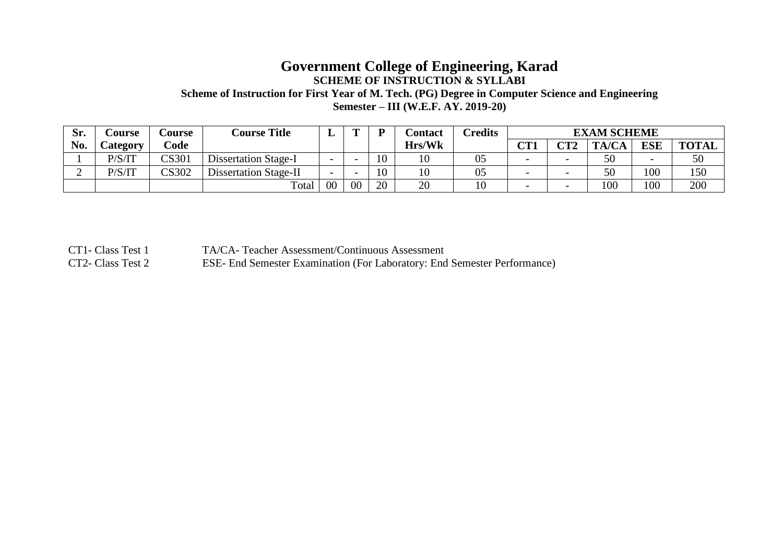## **Government College of Engineering, Karad SCHEME OF INSTRUCTION & SYLLABI Scheme of Instruction for First Year of M. Tech. (PG) Degree in Computer Science and Engineering**

**Semester – III (W.E.F. AY. 2019-20)**

| Sr. | <b>Course</b>   | <b>course</b> | <b>Course Title</b>         | ≖                        | m  |    | <b>Contact</b> | Credits | <b>EXAM SCHEME</b>       |          |       |                          |              |
|-----|-----------------|---------------|-----------------------------|--------------------------|----|----|----------------|---------|--------------------------|----------|-------|--------------------------|--------------|
| No. | <b>Lategory</b> | Code          |                             |                          |    |    | Hrs/Wk         |         | $\alpha$ T1<br>U L L     | $\Gamma$ | TA/CA | <b>ESE</b>               | <b>TOTAL</b> |
|     | P/S/IT          | CS301         | <b>Dissertation Stage-I</b> |                          |    | 10 | 1 <sub>0</sub> | U5      | $\overline{\phantom{0}}$ |          | 50    | $\overline{\phantom{0}}$ | 50           |
| ∸   | P/S/IT          | CS302         | Dissertation Stage-II       | $\overline{\phantom{0}}$ |    | 10 | 1 U            | 05      | $\overline{\phantom{0}}$ |          | 50    | 100                      | 150          |
|     |                 |               | Total                       | 00                       | 00 | 20 | 20             | 10      | $\overline{\phantom{0}}$ |          | 100   | 100                      | 200          |

CT1- Class Test 1 TA/CA- Teacher Assessment/Continuous Assessment

CT2- Class Test 2 ESE- End Semester Examination (For Laboratory: End Semester Performance)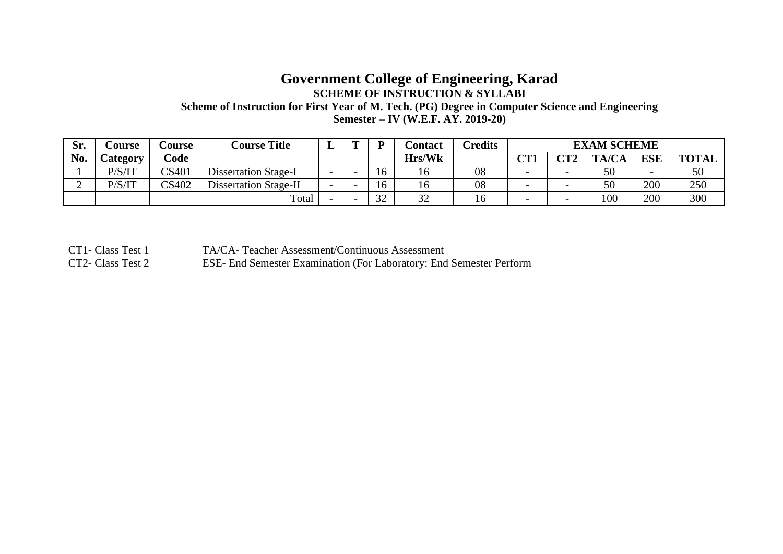#### **Government College of Engineering, Karad SCHEME OF INSTRUCTION & SYLLABI Scheme of Instruction for First Year of M. Tech. (PG) Degree in Computer Science and Engineering Semester – IV (W.E.F. AY. 2019-20)**

| Sr. | <b>Course</b>    | <b>Course</b>   | <b>Course Title</b>          | ≖                        | m | ת               | Contact         | <b>Tredits</b> | <b>EXAM SCHEME</b>       |             |       |                          |              |
|-----|------------------|-----------------|------------------------------|--------------------------|---|-----------------|-----------------|----------------|--------------------------|-------------|-------|--------------------------|--------------|
| No. | <i>C</i> ategory | $\mathbf{Code}$ |                              |                          |   |                 | Hrs/Wk          |                | ∩Т1<br>U L J             | $\Gamma$ Ta | TA/CA | <b>ESE</b>               | <b>TOTAL</b> |
|     | P/S/IT           | CS401           | <b>Dissertation Stage-I</b>  | $\overline{\phantom{0}}$ |   | 10              |                 | 08             | $\overline{\phantom{0}}$ |             | 50    | $\overline{\phantom{0}}$ | 50           |
|     | P/S/IT           | CS402           | <b>Dissertation Stage-II</b> | $\overline{\phantom{0}}$ |   | 16              |                 | 08             | $\overline{\phantom{0}}$ |             | 50    | 200                      | 250          |
|     |                  |                 | Total                        |                          |   | $\Omega$<br>ے ر | $\Omega$<br>ے ب | 10             | $\overline{\phantom{0}}$ |             | 100   | 200                      | 300          |

CT1- Class Test 1 TA/CA- Teacher Assessment/Continuous Assessment

CT2- Class Test 2 ESE- End Semester Examination (For Laboratory: End Semester Perform